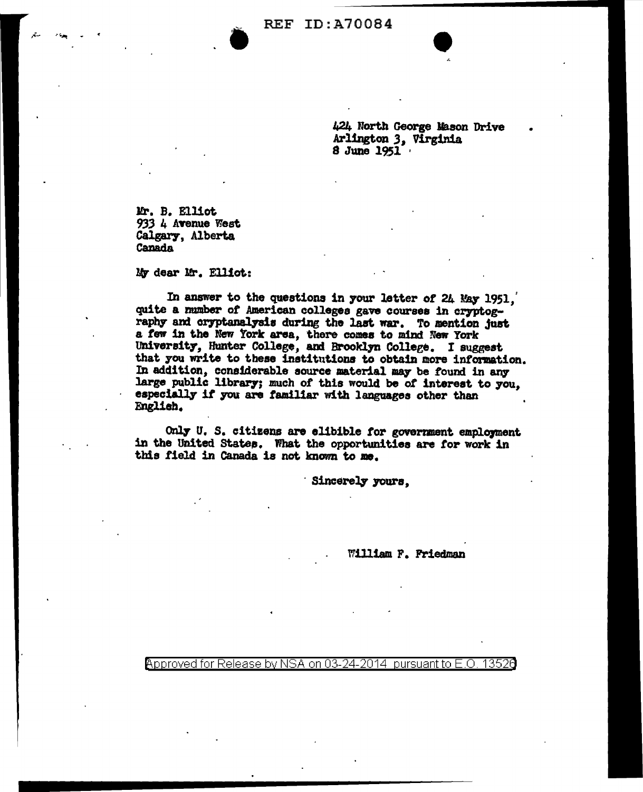**REF ID: A70084** 

424 North George Mason Drive Arlington 3, Virginia 8 June 1951

Mr. B. Elliot 933 4 Avenue West Calgary, Alberta **Canada** 

My dear Mr. Elliot:

In answer to the questions in your letter of 24 May 1951. quite a number of American colleges gave courses in cryptography and cryptanalysis during the last war. To mention just a few in the New York area, there comes to mind New York University, Hunter College, and Brooklyn College. I suggest that you write to these institutions to obtain more information. In addition, considerable source material may be found in any large public library; much of this would be of interest to you. especially if you are familiar with languages other than English.

Only U. S. citizens are elibible for government employment in the United States. What the opportunities are for work in this field in Canada is not known to me.

Sincerely yours.

William F. Friedman

Approved for Release by NSA on 03-24-2014  $\,$  pursuant to E.O. 13526  $\,$